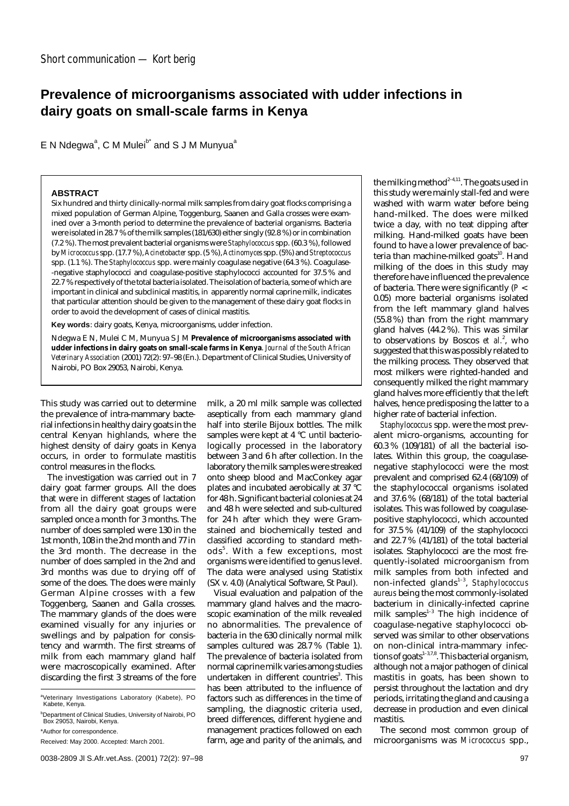## **Prevalence of microorganisms associated with udder infections in dairy goats on small-scale farms in Kenya**

E N Ndegwa<sup>a</sup>, C M Mulei<sup>b\*</sup> and S J M Munyua<sup>a</sup>

## **ABSTRACT**

Six hundred and thirty clinically-normal milk samples from dairy goat flocks comprising a mixed population of German Alpine, Toggenburg, Saanen and Galla crosses were examined over a 3-month period to determine the prevalence of bacterial organisms. Bacteria were isolated in 28.7 % of the milk samples (181/630) either singly (92.8 %) or in combination (7.2 %). The most prevalent bacterial organisms were *Staphylococcus* spp. (60.3 %), followed by*Micrococcus* spp. (17.7 %),*Acinetobacter* spp. (5 %),*Actinomyces* spp. (5%) and*Streptococcus* spp. (1.1 %). The *Staphylococcus* spp. were mainly coagulase negative (64.3 %). Coagulase- -negative staphylococci and coagulase-positive staphylococci accounted for 37.5 % and 22.7 % respectively of the total bacteria isolated. The isolation of bacteria, some of which are important in clinical and subclinical mastitis, in apparently normal caprine milk, indicates that particular attention should be given to the management of these dairy goat flocks in order to avoid the development of cases of clinical mastitis.

**Key words**: dairy goats, Kenya, microorganisms, udder infection.

Ndegwa E N, Mulei C M, Munyua S J M Prevalence of microorganisms associated with **udder infections in dairy goats on small-scale farms in Kenya**. *Journal of the South African Veterinary Association* (2001) 72(2): 97–98 (En.). Department of Clinical Studies, University of Nairobi, PO Box 29053, Nairobi, Kenya.

This study was carried out to determine the prevalence of intra-mammary bacterial infections in healthy dairy goats in the central Kenyan highlands, where the highest density of dairy goats in Kenya occurs, in order to formulate mastitis control measures in the flocks.

The investigation was carried out in 7 dairy goat farmer groups. All the does that were in different stages of lactation from all the dairy goat groups were sampled once a month for 3 months. The number of does sampled were 130 in the 1st month, 108 in the 2nd month and 77 in the 3rd month. The decrease in the number of does sampled in the 2nd and 3rd months was due to drying off of some of the does. The does were mainly German Alpine crosses with a few Toggenberg, Saanen and Galla crosses. The mammary glands of the does were examined visually for any injuries or swellings and by palpation for consistency and warmth. The first streams of milk from each mammary gland half were macroscopically examined. After discarding the first 3 streams of the fore

\*Author for correspondence.

milk, a 20 ml milk sample was collected aseptically from each mammary gland half into sterile Bijoux bottles. The milk samples were kept at 4 °C until bacteriologically processed in the laboratory between 3 and 6 h after collection. In the laboratory the milk samples were streaked onto sheep blood and MacConkey agar plates and incubated aerobically at 37 °C for 48 h. Significant bacterial colonies at 24 and 48 h were selected and sub-cultured for 24 h after which they were Gramstained and biochemically tested and classified according to standard methods<sup>5</sup>. With a few exceptions, most organisms were identified to genus level. The data were analysed using Statistix (SX v. 4.0) (Analytical Software, St Paul).

Visual evaluation and palpation of the mammary gland halves and the macroscopic examination of the milk revealed no abnormalities. The prevalence of bacteria in the 630 clinically normal milk samples cultured was 28.7 % (Table 1). The prevalence of bacteria isolated from normal caprine milk varies among studies undertaken in different countries<sup>3</sup>. This has been attributed to the influence of factors such as differences in the time of sampling, the diagnostic criteria used, breed differences, different hygiene and management practices followed on each farm, age and parity of the animals, and the milking method<sup>2-4,11</sup>. The goats used in this study were mainly stall-fed and were washed with warm water before being hand-milked. The does were milked twice a day, with no teat dipping after milking. Hand-milked goats have been found to have a lower prevalence of bacteria than machine-milked goats<sup>10</sup>. Hand milking of the does in this study may therefore have influenced the prevalence of bacteria. There were significantly (*P* < 0.05) more bacterial organisms isolated from the left mammary gland halves (55.8 %) than from the right mammary gland halves (44.2 %). This was similar to observations by Boscos et al.<sup>2</sup>, who suggested that this was possibly related to the milking process. They observed that most milkers were righted-handed and consequently milked the right mammary gland halves more efficiently that the left halves, hence predisposing the latter to a higher rate of bacterial infection.

*Staphylococcus* spp. were the most prevalent micro-organisms, accounting for 60.3 % (109/181) of all the bacterial isolates. Within this group, the coagulasenegative staphylococci were the most prevalent and comprised 62.4 (68/109) of the staphylococcal organisms isolated and 37.6 % (68/181) of the total bacterial isolates. This was followed by coagulasepositive staphylococci, which accounted for 37.5 % (41/109) of the staphylococci and 22.7 % (41/181) of the total bacterial isolates. Staphylococci are the most frequently-isolated microorganism from milk samples from both infected and non-infected glands1–3, *Staphylococcus aureus* being the most commonly-isolated bacterium in clinically-infected caprine milk samples $1-3$  The high incidence of coagulase-negative staphylococci observed was similar to other observations on non-clinical intra-mammary infections of goats $1-3,7,8$ . This bacterial organism, although not a major pathogen of clinical mastitis in goats, has been shown to persist throughout the lactation and dry periods, irritating the gland and causing a decrease in production and even clinical mastitis.

The second most common group of microorganisms was *Micrococcus* spp.,

<sup>&</sup>lt;sup>a</sup>Veterinary Investigations Laboratory (Kabete), PO Kabete, Kenya.

<sup>&</sup>lt;sup>b</sup>Department of Clinical Studies, University of Nairobi, PO Box 29053, Nairobi, Kenya.

Received: May 2000. Accepted: March 2001.